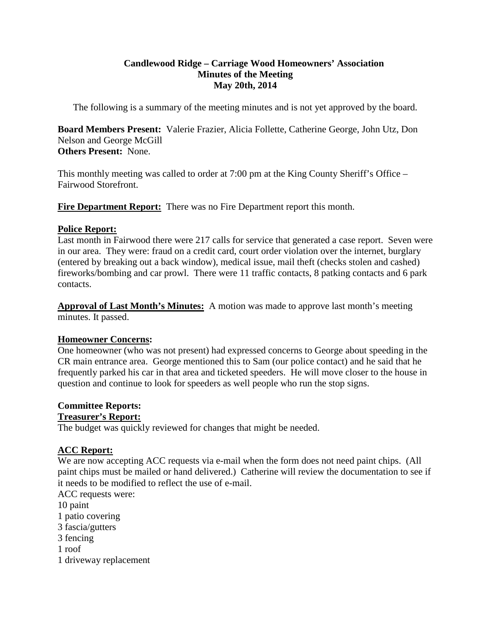#### **Candlewood Ridge – Carriage Wood Homeowners' Association Minutes of the Meeting May 20th, 2014**

The following is a summary of the meeting minutes and is not yet approved by the board.

**Board Members Present:** Valerie Frazier, Alicia Follette, Catherine George, John Utz, Don Nelson and George McGill **Others Present:** None.

This monthly meeting was called to order at 7:00 pm at the King County Sheriff's Office – Fairwood Storefront.

**Fire Department Report:** There was no Fire Department report this month.

#### **Police Report:**

Last month in Fairwood there were 217 calls for service that generated a case report. Seven were in our area. They were: fraud on a credit card, court order violation over the internet, burglary (entered by breaking out a back window), medical issue, mail theft (checks stolen and cashed) fireworks/bombing and car prowl. There were 11 traffic contacts, 8 patking contacts and 6 park contacts.

**Approval of Last Month's Minutes:** A motion was made to approve last month's meeting minutes. It passed.

# **Homeowner Concerns:**

One homeowner (who was not present) had expressed concerns to George about speeding in the CR main entrance area. George mentioned this to Sam (our police contact) and he said that he frequently parked his car in that area and ticketed speeders. He will move closer to the house in question and continue to look for speeders as well people who run the stop signs.

# **Committee Reports:**

#### **Treasurer's Report:**

The budget was quickly reviewed for changes that might be needed.

# **ACC Report:**

We are now accepting ACC requests via e-mail when the form does not need paint chips. (All paint chips must be mailed or hand delivered.) Catherine will review the documentation to see if it needs to be modified to reflect the use of e-mail.

ACC requests were:

10 paint

- 1 patio covering
- 3 fascia/gutters
- 3 fencing
- 1 roof
- 1 driveway replacement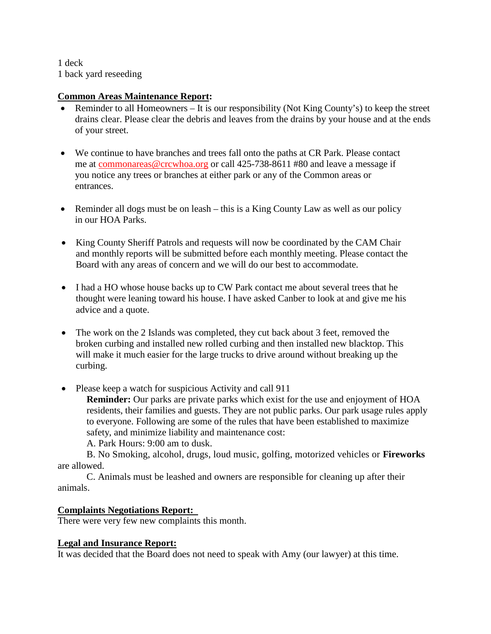1 deck 1 back yard reseeding

## **Common Areas Maintenance Report:**

- Reminder to all Homeowners It is our responsibility (Not King County's) to keep the street drains clear. Please clear the debris and leaves from the drains by your house and at the ends of your street.
- We continue to have branches and trees fall onto the paths at CR Park. Please contact me at [commonareas@crcwhoa.org](mailto:commonareas@crcwhoa.org) or call 425-738-8611 #80 and leave a message if you notice any trees or branches at either park or any of the Common areas or entrances.
- Reminder all dogs must be on leash this is a King County Law as well as our policy in our HOA Parks.
- King County Sheriff Patrols and requests will now be coordinated by the CAM Chair and monthly reports will be submitted before each monthly meeting. Please contact the Board with any areas of concern and we will do our best to accommodate.
- I had a HO whose house backs up to CW Park contact me about several trees that he thought were leaning toward his house. I have asked Canber to look at and give me his advice and a quote.
- The work on the 2 Islands was completed, they cut back about 3 feet, removed the broken curbing and installed new rolled curbing and then installed new blacktop. This will make it much easier for the large trucks to drive around without breaking up the curbing.
- Please keep a watch for suspicious Activity and call 911

**Reminder:** Our parks are private parks which exist for the use and enjoyment of HOA residents, their families and guests. They are not public parks. Our park usage rules apply to everyone. Following are some of the rules that have been established to maximize safety, and minimize liability and maintenance cost:

A. Park Hours: 9:00 am to dusk.

B. No Smoking, alcohol, drugs, loud music, golfing, motorized vehicles or **Fireworks**  are allowed.

C. Animals must be leashed and owners are responsible for cleaning up after their animals.

# **Complaints Negotiations Report:**

There were very few new complaints this month.

# **Legal and Insurance Report:**

It was decided that the Board does not need to speak with Amy (our lawyer) at this time.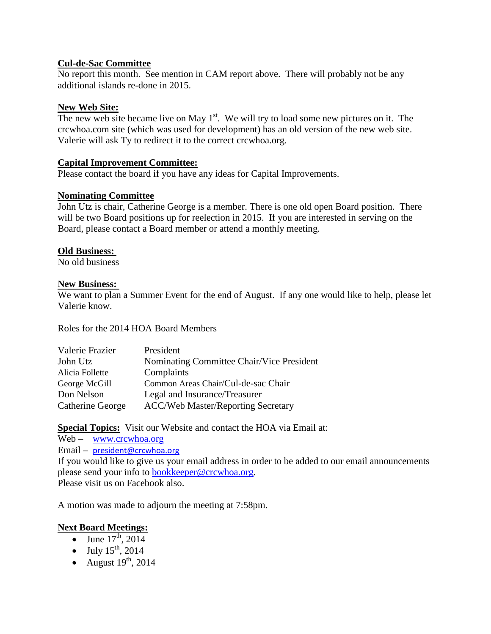## **Cul-de-Sac Committee**

No report this month. See mention in CAM report above. There will probably not be any additional islands re-done in 2015.

## **New Web Site:**

The new web site became live on May  $1<sup>st</sup>$ . We will try to load some new pictures on it. The crcwhoa.com site (which was used for development) has an old version of the new web site. Valerie will ask Ty to redirect it to the correct crcwhoa.org.

## **Capital Improvement Committee:**

Please contact the board if you have any ideas for Capital Improvements.

## **Nominating Committee**

John Utz is chair, Catherine George is a member. There is one old open Board position. There will be two Board positions up for reelection in 2015. If you are interested in serving on the Board, please contact a Board member or attend a monthly meeting.

## **Old Business:**

No old business

#### **New Business:**

We want to plan a Summer Event for the end of August. If any one would like to help, please let Valerie know.

Roles for the 2014 HOA Board Members

| Valerie Frazier  | President                                 |
|------------------|-------------------------------------------|
| John Utz         | Nominating Committee Chair/Vice President |
| Alicia Follette  | Complaints                                |
| George McGill    | Common Areas Chair/Cul-de-sac Chair       |
| Don Nelson       | Legal and Insurance/Treasurer             |
| Catherine George | <b>ACC/Web Master/Reporting Secretary</b> |

**Special Topics:** Visit our Website and contact the HOA via Email at:

Web – [www.crcwhoa.org](http://www.crcwhoa.org/) Email – [president@crcwhoa.org](mailto:president@crcwhoa.org) If you would like to give us your email address in order to be added to our email announcements please send your info to [bookkeeper@crcwhoa.org.](mailto:bookkeeper@crcwhoa.org) Please visit us on Facebook also.

A motion was made to adjourn the meeting at 7:58pm.

# **Next Board Meetings:**

- June  $17^{th}$ , 2014
- July  $15^{th}$ , 2014
- August  $19<sup>th</sup>$ , 2014